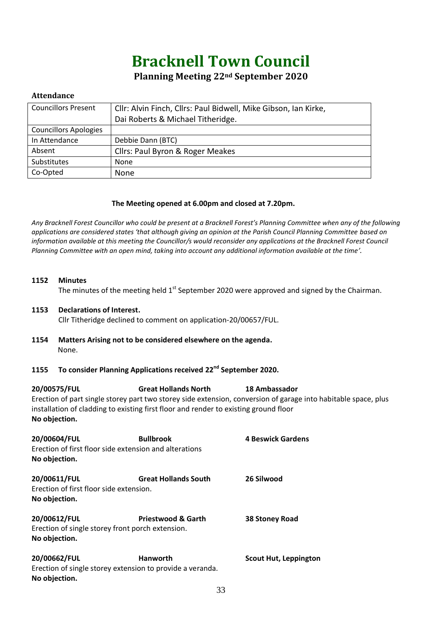# **Bracknell Town Council**

# **Planning Meeting 22nd September 2020**

# **Attendance**

| <b>Councillors Present</b>   | Cllr: Alvin Finch, Cllrs: Paul Bidwell, Mike Gibson, Ian Kirke, |  |
|------------------------------|-----------------------------------------------------------------|--|
|                              | Dai Roberts & Michael Titheridge.                               |  |
| <b>Councillors Apologies</b> |                                                                 |  |
| In Attendance                | Debbie Dann (BTC)                                               |  |
| Absent                       | Cllrs: Paul Byron & Roger Meakes                                |  |
| Substitutes                  | <b>None</b>                                                     |  |
| Co-Opted                     | <b>None</b>                                                     |  |

# **The Meeting opened at 6.00pm and closed at 7.20pm.**

*Any Bracknell Forest Councillor who could be present at a Bracknell Forest's Planning Committee when any of the following applications are considered states 'that although giving an opinion at the Parish Council Planning Committee based on information available at this meeting the Councillor/s would reconsider any applications at the Bracknell Forest Council Planning Committee with an open mind, taking into account any additional information available at the time'.*

### **1152 Minutes**

The minutes of the meeting held  $1<sup>st</sup>$  September 2020 were approved and signed by the Chairman.

#### **1153 Declarations of Interest.**

Cllr Titheridge declined to comment on application-20/00657/FUL.

**1154 Matters Arising not to be considered elsewhere on the agenda.** None.

# **1155 To consider Planning Applications received 22nd September 2020.**

**20/00575/FUL Great Hollands North 18 Ambassador** Erection of part single storey part two storey side extension, conversion of garage into habitable space, plus installation of cladding to existing first floor and render to existing ground floor **No objection.**

| 20/00604/FUL<br><b>Bullbrook</b><br>Erection of first floor side extension and alterations |                                                           | <b>4 Beswick Gardens</b>     |  |
|--------------------------------------------------------------------------------------------|-----------------------------------------------------------|------------------------------|--|
| No objection.                                                                              |                                                           |                              |  |
| 20/00611/FUL                                                                               | <b>Great Hollands South</b>                               | 26 Silwood                   |  |
| Erection of first floor side extension.                                                    |                                                           |                              |  |
| No objection.                                                                              |                                                           |                              |  |
| 20/00612/FUL                                                                               | <b>Priestwood &amp; Garth</b>                             | 38 Stoney Road               |  |
| Erection of single storey front porch extension.                                           |                                                           |                              |  |
| No objection.                                                                              |                                                           |                              |  |
| 20/00662/FUL                                                                               | <b>Hanworth</b>                                           | <b>Scout Hut, Leppington</b> |  |
|                                                                                            | Erection of single storey extension to provide a veranda. |                              |  |
| No objection.                                                                              |                                                           |                              |  |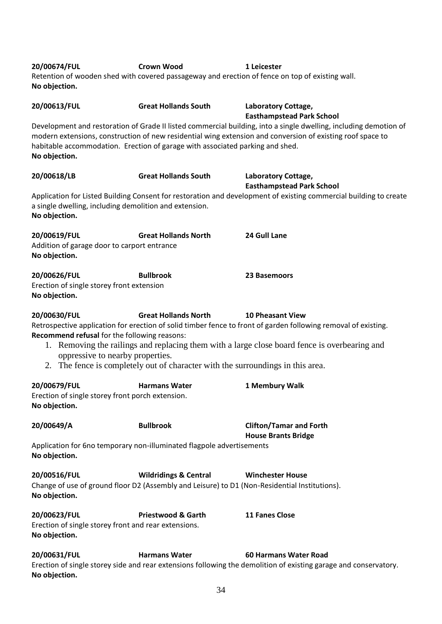| 20/00674/FUL<br>No objection.                                                                    | <b>Crown Wood</b>                                                                                                                 | 1 Leicester<br>Retention of wooden shed with covered passageway and erection of fence on top of existing wall.                                                                                                                                                                             |
|--------------------------------------------------------------------------------------------------|-----------------------------------------------------------------------------------------------------------------------------------|--------------------------------------------------------------------------------------------------------------------------------------------------------------------------------------------------------------------------------------------------------------------------------------------|
| 20/00613/FUL<br>No objection.                                                                    | <b>Great Hollands South</b><br>habitable accommodation. Erection of garage with associated parking and shed.                      | Laboratory Cottage,<br><b>Easthampstead Park School</b><br>Development and restoration of Grade II listed commercial building, into a single dwelling, including demotion of<br>modern extensions, construction of new residential wing extension and conversion of existing roof space to |
| 20/00618/LB                                                                                      | <b>Great Hollands South</b>                                                                                                       | Laboratory Cottage,<br><b>Easthampstead Park School</b>                                                                                                                                                                                                                                    |
| a single dwelling, including demolition and extension.<br>No objection.                          |                                                                                                                                   | Application for Listed Building Consent for restoration and development of existing commercial building to create                                                                                                                                                                          |
| 20/00619/FUL<br>Addition of garage door to carport entrance<br>No objection.                     | <b>Great Hollands North</b>                                                                                                       | 24 Gull Lane                                                                                                                                                                                                                                                                               |
| 20/00626/FUL<br>Erection of single storey front extension<br>No objection.                       | <b>Bullbrook</b>                                                                                                                  | 23 Basemoors                                                                                                                                                                                                                                                                               |
| 20/00630/FUL<br>Recommend refusal for the following reasons:<br>oppressive to nearby properties. | <b>Great Hollands North</b><br>2. The fence is completely out of character with the surroundings in this area.                    | <b>10 Pheasant View</b><br>Retrospective application for erection of solid timber fence to front of garden following removal of existing.<br>1. Removing the railings and replacing them with a large close board fence is overbearing and                                                 |
| 20/00679/FUL<br>Erection of single storey front porch extension.<br>No objection.                | <b>Harmans Water</b>                                                                                                              | 1 Membury Walk                                                                                                                                                                                                                                                                             |
| 20/00649/A                                                                                       | <b>Bullbrook</b>                                                                                                                  | <b>Clifton/Tamar and Forth</b><br><b>House Brants Bridge</b>                                                                                                                                                                                                                               |
| No objection.                                                                                    | Application for 6no temporary non-illuminated flagpole advertisements                                                             |                                                                                                                                                                                                                                                                                            |
| 20/00516/FUL<br>No objection.                                                                    | <b>Wildridings &amp; Central</b><br>Change of use of ground floor D2 (Assembly and Leisure) to D1 (Non-Residential Institutions). | <b>Winchester House</b>                                                                                                                                                                                                                                                                    |
| 20/00623/FUL<br>Erection of single storey front and rear extensions.<br>No objection.            | <b>Priestwood &amp; Garth</b>                                                                                                     | <b>11 Fanes Close</b>                                                                                                                                                                                                                                                                      |
| 20/00631/FUL<br>No objection.                                                                    | <b>Harmans Water</b>                                                                                                              | <b>60 Harmans Water Road</b><br>Erection of single storey side and rear extensions following the demolition of existing garage and conservatory.                                                                                                                                           |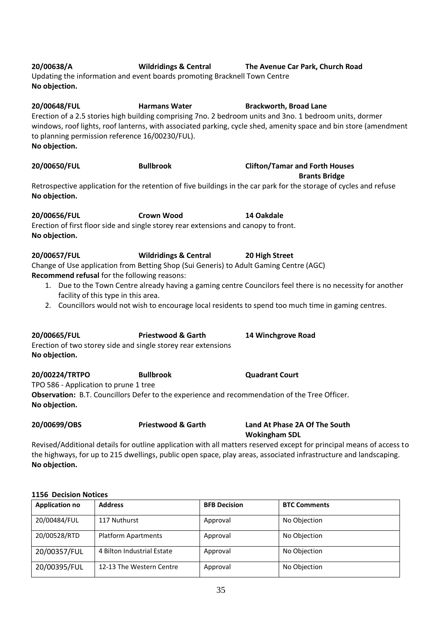| No objection.                                                                       |                                                                                        |                                                                                                                      |
|-------------------------------------------------------------------------------------|----------------------------------------------------------------------------------------|----------------------------------------------------------------------------------------------------------------------|
| 20/00650/FUL                                                                        | <b>Bullbrook</b>                                                                       | <b>Clifton/Tamar and Forth Houses</b><br><b>Brants Bridge</b>                                                        |
| No objection.                                                                       |                                                                                        | Retrospective application for the retention of five buildings in the car park for the storage of cycles and refuse   |
| 20/00656/FUL                                                                        | <b>Crown Wood</b>                                                                      | 14 Oakdale                                                                                                           |
| No objection.                                                                       | Erection of first floor side and single storey rear extensions and canopy to front.    |                                                                                                                      |
| 20/00657/FUL                                                                        | Wildridings & Central 20 High Street                                                   |                                                                                                                      |
|                                                                                     | Change of Use application from Betting Shop (Sui Generis) to Adult Gaming Centre (AGC) |                                                                                                                      |
| Recommend refusal for the following reasons:<br>facility of this type in this area. |                                                                                        | 1. Due to the Town Centre already having a gaming centre Councilors feel there is no necessity for another           |
|                                                                                     |                                                                                        | 2. Councillors would not wish to encourage local residents to spend too much time in gaming centres.                 |
| 20/00665/FUL                                                                        | <b>Priestwood &amp; Garth</b>                                                          | 14 Winchgrove Road                                                                                                   |
| No objection.                                                                       | Erection of two storey side and single storey rear extensions                          |                                                                                                                      |
| 20/00224/TRTPO                                                                      | <b>Bullbrook</b>                                                                       | <b>Quadrant Court</b>                                                                                                |
| TPO 586 - Application to prune 1 tree<br>No objection.                              |                                                                                        | Observation: B.T. Councillors Defer to the experience and recommendation of the Tree Officer.                        |
| 20/00699/OBS                                                                        | <b>Priestwood &amp; Garth</b>                                                          | Land At Phase 2A Of The South<br><b>Wokingham SDL</b>                                                                |
|                                                                                     |                                                                                        | Revised/Additional details for outline application with all matters reserved except for principal means of access to |

Revised/Additional details for outline application with all matters reserved except for principal means of access to the highways, for up to 215 dwellings, public open space, play areas, associated infrastructure and landscaping. **No objection.**

#### **1156 Decision Notices**

| <b>Application no</b> | <b>Address</b>             | <b>BFB Decision</b> | <b>BTC Comments</b> |
|-----------------------|----------------------------|---------------------|---------------------|
| 20/00484/FUL          | 117 Nuthurst               | Approval            | No Objection        |
| 20/00528/RTD          | <b>Platform Apartments</b> | Approval            | No Objection        |
| 20/00357/FUL          | 4 Bilton Industrial Estate | Approval            | No Objection        |
| 20/00395/FUL          | 12-13 The Western Centre   | Approval            | No Objection        |

# **20/00638/A Wildridings & Central The Avenue Car Park, Church Road**

Updating the information and event boards promoting Bracknell Town Centre **No objection.**

**20/00648/FUL Harmans Water Brackworth, Broad Lane** Erection of a 2.5 stories high building comprising 7no. 2 bedroom units and 3no. 1 bedroom units, dormer windows, roof lights, roof lanterns, with associated parking, cycle shed, amenity space and bin store (amendment to planning permission reference 16/00230/FUL).

| No objection.                                                                                        |                   | Retrospective application for the retention of five buildings in the car park for the storage of cycles and |  |
|------------------------------------------------------------------------------------------------------|-------------------|-------------------------------------------------------------------------------------------------------------|--|
| 20/00656/FUL                                                                                         | <b>Crown Wood</b> | 14 Oakdale                                                                                                  |  |
| Erection of first floor side and single storey rear extensions and canopy to front.<br>No objection. |                   |                                                                                                             |  |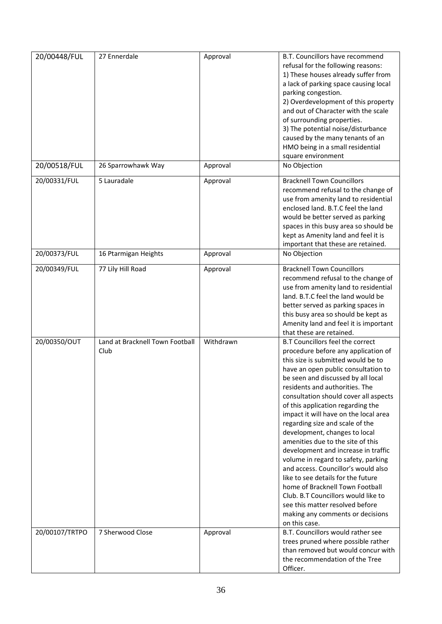| 20/00448/FUL   | 27 Ennerdale                            | Approval  | B.T. Councillors have recommend<br>refusal for the following reasons:<br>1) These houses already suffer from<br>a lack of parking space causing local<br>parking congestion.<br>2) Overdevelopment of this property<br>and out of Character with the scale<br>of surrounding properties.<br>3) The potential noise/disturbance<br>caused by the many tenants of an<br>HMO being in a small residential<br>square environment                                                                                                                                                                                                                                                                                                                                                                     |
|----------------|-----------------------------------------|-----------|--------------------------------------------------------------------------------------------------------------------------------------------------------------------------------------------------------------------------------------------------------------------------------------------------------------------------------------------------------------------------------------------------------------------------------------------------------------------------------------------------------------------------------------------------------------------------------------------------------------------------------------------------------------------------------------------------------------------------------------------------------------------------------------------------|
| 20/00518/FUL   | 26 Sparrowhawk Way                      | Approval  | No Objection                                                                                                                                                                                                                                                                                                                                                                                                                                                                                                                                                                                                                                                                                                                                                                                     |
| 20/00331/FUL   | 5 Lauradale                             | Approval  | <b>Bracknell Town Councillors</b><br>recommend refusal to the change of<br>use from amenity land to residential<br>enclosed land. B.T.C feel the land<br>would be better served as parking<br>spaces in this busy area so should be<br>kept as Amenity land and feel it is<br>important that these are retained.                                                                                                                                                                                                                                                                                                                                                                                                                                                                                 |
| 20/00373/FUL   | 16 Ptarmigan Heights                    | Approval  | No Objection                                                                                                                                                                                                                                                                                                                                                                                                                                                                                                                                                                                                                                                                                                                                                                                     |
| 20/00349/FUL   | 77 Lily Hill Road                       | Approval  | <b>Bracknell Town Councillors</b><br>recommend refusal to the change of<br>use from amenity land to residential<br>land. B.T.C feel the land would be<br>better served as parking spaces in<br>this busy area so should be kept as<br>Amenity land and feel it is important<br>that these are retained.                                                                                                                                                                                                                                                                                                                                                                                                                                                                                          |
| 20/00350/OUT   | Land at Bracknell Town Football<br>Club | Withdrawn | <b>B.T Councillors feel the correct</b><br>procedure before any application of<br>this size is submitted would be to<br>have an open public consultation to<br>be seen and discussed by all local<br>residents and authorities. The<br>consultation should cover all aspects<br>of this application regarding the<br>impact it will have on the local area<br>regarding size and scale of the<br>development, changes to local<br>amenities due to the site of this<br>development and increase in traffic<br>volume in regard to safety, parking<br>and access. Councillor's would also<br>like to see details for the future<br>home of Bracknell Town Football<br>Club. B.T Councillors would like to<br>see this matter resolved before<br>making any comments or decisions<br>on this case. |
| 20/00107/TRTPO | 7 Sherwood Close                        | Approval  | B.T. Councillors would rather see<br>trees pruned where possible rather<br>than removed but would concur with<br>the recommendation of the Tree<br>Officer.                                                                                                                                                                                                                                                                                                                                                                                                                                                                                                                                                                                                                                      |